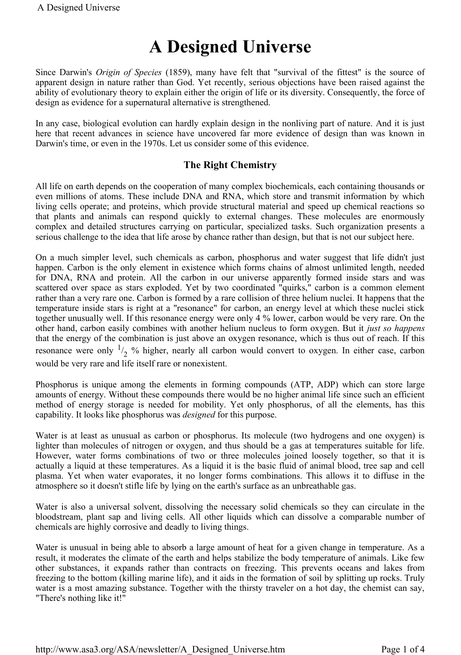# **A Designed Universe**

Since Darwin's *Origin of Species* (1859), many have felt that "survival of the fittest" is the source of apparent design in nature rather than God. Yet recently, serious objections have been raised against the ability of evolutionary theory to explain either the origin of life or its diversity. Consequently, the force of design as evidence for a supernatural alternative is strengthened.

In any case, biological evolution can hardly explain design in the nonliving part of nature. And it is just here that recent advances in science have uncovered far more evidence of design than was known in Darwin's time, or even in the 1970s. Let us consider some of this evidence.

## **The Right Chemistry**

All life on earth depends on the cooperation of many complex biochemicals, each containing thousands or even millions of atoms. These include DNA and RNA, which store and transmit information by which living cells operate; and proteins, which provide structural material and speed up chemical reactions so that plants and animals can respond quickly to external changes. These molecules are enormously complex and detailed structures carrying on particular, specialized tasks. Such organization presents a serious challenge to the idea that life arose by chance rather than design, but that is not our subject here.

On a much simpler level, such chemicals as carbon, phosphorus and water suggest that life didn't just happen. Carbon is the only element in existence which forms chains of almost unlimited length, needed for DNA, RNA and protein. All the carbon in our universe apparently formed inside stars and was scattered over space as stars exploded. Yet by two coordinated "quirks," carbon is a common element rather than a very rare one. Carbon is formed by a rare collision of three helium nuclei. It happens that the temperature inside stars is right at a "resonance" for carbon, an energy level at which these nuclei stick together unusually well. If this resonance energy were only 4 % lower, carbon would be very rare. On the other hand, carbon easily combines with another helium nucleus to form oxygen. But it *just so happens* that the energy of the combination is just above an oxygen resonance, which is thus out of reach. If this resonance were only  $\frac{1}{2}$  % higher, nearly all carbon would convert to oxygen. In either case, carbon would be very rare and life itself rare or nonexistent.

Phosphorus is unique among the elements in forming compounds (ATP, ADP) which can store large amounts of energy. Without these compounds there would be no higher animal life since such an efficient method of energy storage is needed for mobility. Yet only phosphorus, of all the elements, has this capability. It looks like phosphorus was *designed* for this purpose.

Water is at least as unusual as carbon or phosphorus. Its molecule (two hydrogens and one oxygen) is lighter than molecules of nitrogen or oxygen, and thus should be a gas at temperatures suitable for life. However, water forms combinations of two or three molecules joined loosely together, so that it is actually a liquid at these temperatures. As a liquid it is the basic fluid of animal blood, tree sap and cell plasma. Yet when water evaporates, it no longer forms combinations. This allows it to diffuse in the atmosphere so it doesn't stifle life by lying on the earth's surface as an unbreathable gas.

Water is also a universal solvent, dissolving the necessary solid chemicals so they can circulate in the bloodstream, plant sap and living cells. All other liquids which can dissolve a comparable number of chemicals are highly corrosive and deadly to living things.

Water is unusual in being able to absorb a large amount of heat for a given change in temperature. As a result, it moderates the climate of the earth and helps stabilize the body temperature of animals. Like few other substances, it expands rather than contracts on freezing. This prevents oceans and lakes from freezing to the bottom (killing marine life), and it aids in the formation of soil by splitting up rocks. Truly water is a most amazing substance. Together with the thirsty traveler on a hot day, the chemist can say, "There's nothing like it!"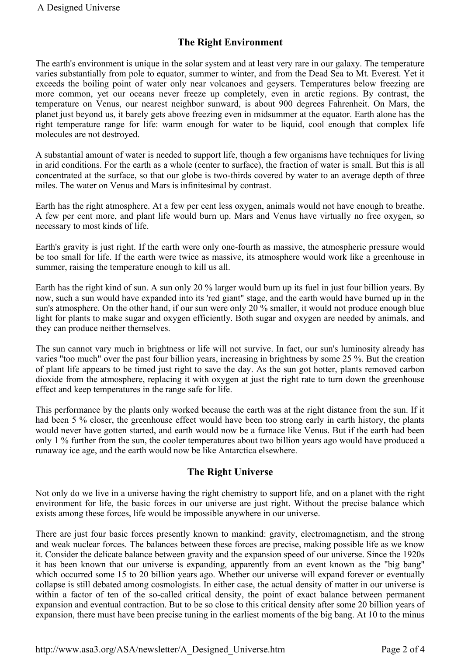## **The Right Environment**

The earth's environment is unique in the solar system and at least very rare in our galaxy. The temperature varies substantially from pole to equator, summer to winter, and from the Dead Sea to Mt. Everest. Yet it exceeds the boiling point of water only near volcanoes and geysers. Temperatures below freezing are more common, yet our oceans never freeze up completely, even in arctic regions. By contrast, the temperature on Venus, our nearest neighbor sunward, is about 900 degrees Fahrenheit. On Mars, the planet just beyond us, it barely gets above freezing even in midsummer at the equator. Earth alone has the right temperature range for life: warm enough for water to be liquid, cool enough that complex life molecules are not destroyed.

A substantial amount of water is needed to support life, though a few organisms have techniques for living in arid conditions. For the earth as a whole (center to surface), the fraction of water is small. But this is all concentrated at the surface, so that our globe is two-thirds covered by water to an average depth of three miles. The water on Venus and Mars is infinitesimal by contrast.

Earth has the right atmosphere. At a few per cent less oxygen, animals would not have enough to breathe. A few per cent more, and plant life would burn up. Mars and Venus have virtually no free oxygen, so necessary to most kinds of life.

Earth's gravity is just right. If the earth were only one-fourth as massive, the atmospheric pressure would be too small for life. If the earth were twice as massive, its atmosphere would work like a greenhouse in summer, raising the temperature enough to kill us all.

Earth has the right kind of sun. A sun only 20 % larger would burn up its fuel in just four billion years. By now, such a sun would have expanded into its 'red giant" stage, and the earth would have burned up in the sun's atmosphere. On the other hand, if our sun were only 20 % smaller, it would not produce enough blue light for plants to make sugar and oxygen efficiently. Both sugar and oxygen are needed by animals, and they can produce neither themselves.

The sun cannot vary much in brightness or life will not survive. In fact, our sun's luminosity already has varies "too much" over the past four billion years, increasing in brightness by some 25 %. But the creation of plant life appears to be timed just right to save the day. As the sun got hotter, plants removed carbon dioxide from the atmosphere, replacing it with oxygen at just the right rate to turn down the greenhouse effect and keep temperatures in the range safe for life.

This performance by the plants only worked because the earth was at the right distance from the sun. If it had been 5 % closer, the greenhouse effect would have been too strong early in earth history, the plants would never have gotten started, and earth would now be a furnace like Venus. But if the earth had been only 1 % further from the sun, the cooler temperatures about two billion years ago would have produced a runaway ice age, and the earth would now be like Antarctica elsewhere.

### **The Right Universe**

Not only do we live in a universe having the right chemistry to support life, and on a planet with the right environment for life, the basic forces in our universe are just right. Without the precise balance which exists among these forces, life would be impossible anywhere in our universe.

There are just four basic forces presently known to mankind: gravity, electromagnetism, and the strong and weak nuclear forces. The balances between these forces are precise, making possible life as we know it. Consider the delicate balance between gravity and the expansion speed of our universe. Since the 1920s it has been known that our universe is expanding, apparently from an event known as the "big bang" which occurred some 15 to 20 billion years ago. Whether our universe will expand forever or eventually collapse is still debated among cosmologists. In either case, the actual density of matter in our universe is within a factor of ten of the so-called critical density, the point of exact balance between permanent expansion and eventual contraction. But to be so close to this critical density after some 20 billion years of expansion, there must have been precise tuning in the earliest moments of the big bang. At 10 to the minus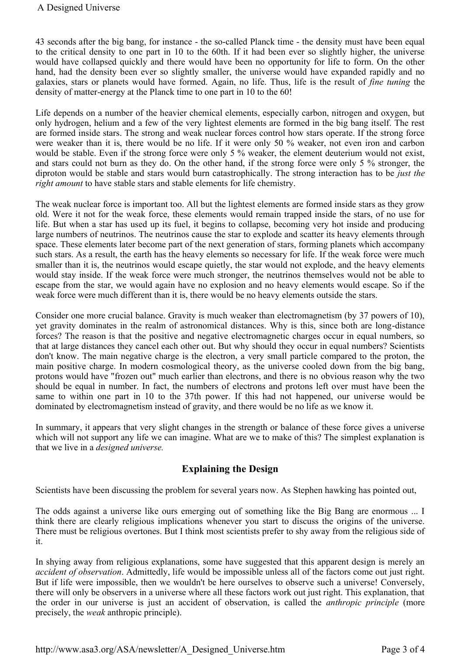43 seconds after the big bang, for instance - the so-called Planck time - the density must have been equal to the critical density to one part in 10 to the 60th. If it had been ever so slightly higher, the universe would have collapsed quickly and there would have been no opportunity for life to form. On the other hand, had the density been ever so slightly smaller, the universe would have expanded rapidly and no galaxies, stars or planets would have formed. Again, no life. Thus, life is the result of *fine tuning* the density of matter-energy at the Planck time to one part in 10 to the 60!

Life depends on a number of the heavier chemical elements, especially carbon, nitrogen and oxygen, but only hydrogen, helium and a few of the very lightest elements are formed in the big bang itself. The rest are formed inside stars. The strong and weak nuclear forces control how stars operate. If the strong force were weaker than it is, there would be no life. If it were only 50 % weaker, not even iron and carbon would be stable. Even if the strong force were only 5 % weaker, the element deuterium would not exist, and stars could not burn as they do. On the other hand, if the strong force were only 5 % stronger, the diproton would be stable and stars would burn catastrophically. The strong interaction has to be *just the right amount* to have stable stars and stable elements for life chemistry.

The weak nuclear force is important too. All but the lightest elements are formed inside stars as they grow old. Were it not for the weak force, these elements would remain trapped inside the stars, of no use for life. But when a star has used up its fuel, it begins to collapse, becoming very hot inside and producing large numbers of neutrinos. The neutrinos cause the star to explode and scatter its heavy elements through space. These elements later become part of the next generation of stars, forming planets which accompany such stars. As a result, the earth has the heavy elements so necessary for life. If the weak force were much smaller than it is, the neutrinos would escape quietly, the star would not explode, and the heavy elements would stay inside. If the weak force were much stronger, the neutrinos themselves would not be able to escape from the star, we would again have no explosion and no heavy elements would escape. So if the weak force were much different than it is, there would be no heavy elements outside the stars.

Consider one more crucial balance. Gravity is much weaker than electromagnetism (by 37 powers of 10), yet gravity dominates in the realm of astronomical distances. Why is this, since both are long-distance forces? The reason is that the positive and negative electromagnetic charges occur in equal numbers, so that at large distances they cancel each other out. But why should they occur in equal numbers? Scientists don't know. The main negative charge is the electron, a very small particle compared to the proton, the main positive charge. In modern cosmological theory, as the universe cooled down from the big bang, protons would have "frozen out" much earlier than electrons, and there is no obvious reason why the two should be equal in number. In fact, the numbers of electrons and protons left over must have been the same to within one part in 10 to the 37th power. If this had not happened, our universe would be dominated by electromagnetism instead of gravity, and there would be no life as we know it.

In summary, it appears that very slight changes in the strength or balance of these force gives a universe which will not support any life we can imagine. What are we to make of this? The simplest explanation is that we live in a *designed universe.*

# **Explaining the Design**

Scientists have been discussing the problem for several years now. As Stephen hawking has pointed out,

The odds against a universe like ours emerging out of something like the Big Bang are enormous ... I think there are clearly religious implications whenever you start to discuss the origins of the universe. There must be religious overtones. But I think most scientists prefer to shy away from the religious side of it.

In shying away from religious explanations, some have suggested that this apparent design is merely an *accident of observation*. Admittedly, life would be impossible unless all of the factors come out just right. But if life were impossible, then we wouldn't be here ourselves to observe such a universe! Conversely, there will only be observers in a universe where all these factors work out just right. This explanation, that the order in our universe is just an accident of observation, is called the *anthropic principle* (more precisely, the *weak* anthropic principle).